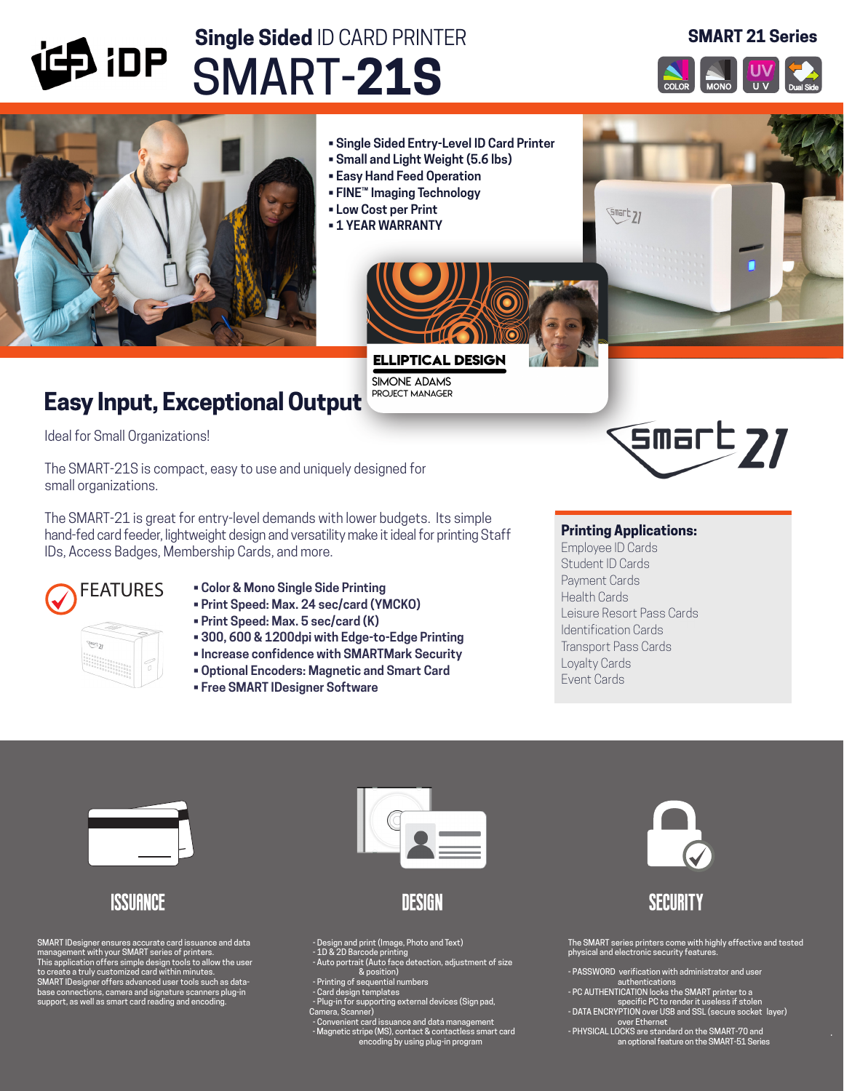

Ideal for Small Organizations!

The SMART-21S is compact, easy to use and uniquely designed for small organizations.

The SMART-21 is great for entry-level demands with lower budgets. Its simple hand-fed card feeder, lightweight design and versatility make it ideal for printing Staff IDs, Access Badges, Membership Cards, and more.



- **Color & Mono Single Side Printing**
- **Print Speed: Max. 24 sec/card (YMCKO)**
- **Print Speed: Max. 5 sec/card (K)**
- **300, 600 & 1200dpi with Edge-to-Edge Printing**
- **Increase confidence with SMARTMark Security**
- **Optional Encoders: Magnetic and Smart Card**
- **Free SMART IDesigner Software**

## **Printing Applications:**

Employee ID Cards Student ID Cards Payment Cards Health Cards Leisure Resort Pass Cards Identification Cards Transport Pass Cards Loyalty Cards Event Cards



# **ISSUANCE**

SMART IDesigner ensures accurate card issuance and data<br>management with your SMART series of printers.<br>This application offers simple design tools to allow the user<br>to create a truly customized card within minutes.<br>SMART I



design

- 
- Design and print (Image, Photo and Text) 1D & 2D Barcode printing - Auto portrait (Auto face detection, adjustment of size
- 
- & position)<br>Printing of sequential numbers -<br>Card design templates -
- Plug-in for supporting external devices (Sign pad, Camera, Scanner)
- Convenient card issuance and data management Magnetic stripe (MS), contact & contactless smart card encoding by using plug-in program



# **SECURITY**

The SMART series printers come with highly effective and tested physical and electronic security features.

- PASSWORD verification with administrator and user
- 
- authentications<br>- PC AUTHENTICATION locks the SMART printer to a<br>specific PC to render it useless if stolen<br>- DATA ENCRYPTION over USB and SSL (secure socket layer)<br>over Ethernet<br>- PHYSICAL LOCKS are standard on the SMART-
-